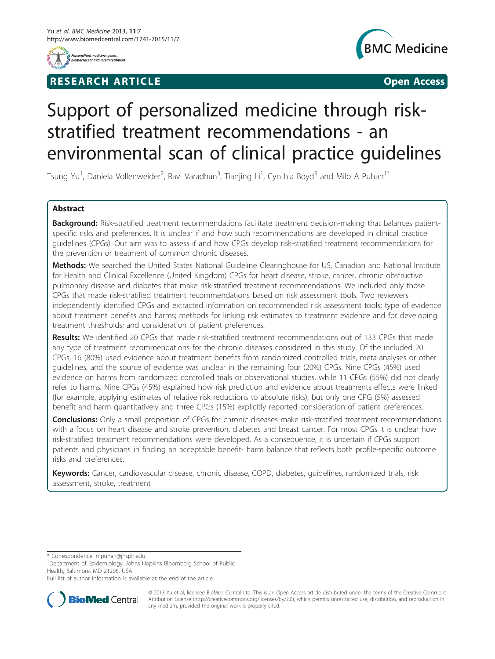

## **RESEARCH ARTICLE Example 2018 CONSUMING ACCESS**



# Support of personalized medicine through riskstratified treatment recommendations - an environmental scan of clinical practice guidelines

Tsung Yu<sup>1</sup>, Daniela Vollenweider<sup>2</sup>, Ravi Varadhan<sup>3</sup>, Tianjing Li<sup>1</sup>, Cynthia Boyd<sup>3</sup> and Milo A Puhan<sup>1\*</sup>

## Abstract

Background: Risk-stratified treatment recommendations facilitate treatment decision-making that balances patientspecific risks and preferences. It is unclear if and how such recommendations are developed in clinical practice guidelines (CPGs). Our aim was to assess if and how CPGs develop risk-stratified treatment recommendations for the prevention or treatment of common chronic diseases.

Methods: We searched the United States National Guideline Clearinghouse for US, Canadian and National Institute for Health and Clinical Excellence (United Kingdom) CPGs for heart disease, stroke, cancer, chronic obstructive pulmonary disease and diabetes that make risk-stratified treatment recommendations. We included only those CPGs that made risk-stratified treatment recommendations based on risk assessment tools. Two reviewers independently identified CPGs and extracted information on recommended risk assessment tools; type of evidence about treatment benefits and harms; methods for linking risk estimates to treatment evidence and for developing treatment thresholds; and consideration of patient preferences.

Results: We identified 20 CPGs that made risk-stratified treatment recommendations out of 133 CPGs that made any type of treatment recommendations for the chronic diseases considered in this study. Of the included 20 CPGs, 16 (80%) used evidence about treatment benefits from randomized controlled trials, meta-analyses or other guidelines, and the source of evidence was unclear in the remaining four (20%) CPGs. Nine CPGs (45%) used evidence on harms from randomized controlled trials or observational studies, while 11 CPGs (55%) did not clearly refer to harms. Nine CPGs (45%) explained how risk prediction and evidence about treatments effects were linked (for example, applying estimates of relative risk reductions to absolute risks), but only one CPG (5%) assessed benefit and harm quantitatively and three CPGs (15%) explicitly reported consideration of patient preferences.

**Conclusions:** Only a small proportion of CPGs for chronic diseases make risk-stratified treatment recommendations with a focus on heart disease and stroke prevention, diabetes and breast cancer. For most CPGs it is unclear how risk-stratified treatment recommendations were developed. As a consequence, it is uncertain if CPGs support patients and physicians in finding an acceptable benefit- harm balance that reflects both profile-specific outcome risks and preferences.

Keywords: Cancer, cardiovascular disease, chronic disease, COPD, diabetes, quidelines, randomized trials, risk assessment, stroke, treatment

\* Correspondence: [mpuhan@jhsph.edu](mailto:mpuhan@jhsph.edu)

<sup>1</sup>Department of Epidemiology, Johns Hopkins Bloomberg School of Public Health, Baltimore, MD 21205, USA

Full list of author information is available at the end of the article



© 2013 Yu et al; licensee BioMed Central Ltd. This is an Open Access article distributed under the terms of the Creative Commons Attribution License [\(http://creativecommons.org/licenses/by/2.0](http://creativecommons.org/licenses/by/2.0)), which permits unrestricted use, distribution, and reproduction in any medium, provided the original work is properly cited.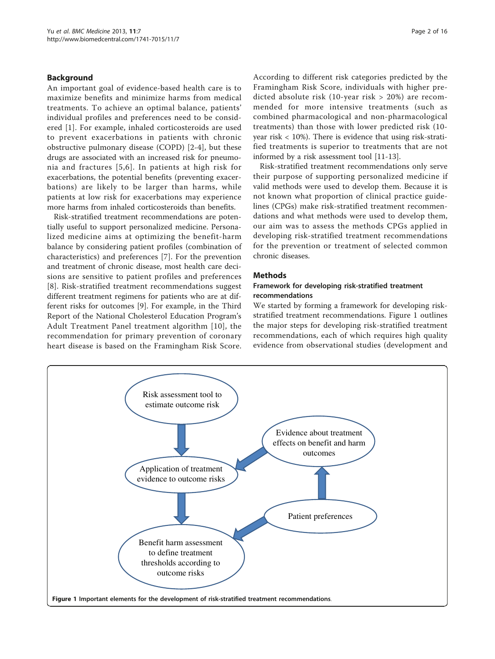## <span id="page-1-0"></span>Background

An important goal of evidence-based health care is to maximize benefits and minimize harms from medical treatments. To achieve an optimal balance, patients' individual profiles and preferences need to be considered [[1\]](#page-13-0). For example, inhaled corticosteroids are used to prevent exacerbations in patients with chronic obstructive pulmonary disease (COPD) [[2-4\]](#page-13-0), but these drugs are associated with an increased risk for pneumonia and fractures [[5](#page-13-0),[6](#page-13-0)]. In patients at high risk for exacerbations, the potential benefits (preventing exacerbations) are likely to be larger than harms, while patients at low risk for exacerbations may experience more harms from inhaled corticosteroids than benefits.

Risk-stratified treatment recommendations are potentially useful to support personalized medicine. Personalized medicine aims at optimizing the benefit-harm balance by considering patient profiles (combination of characteristics) and preferences [[7](#page-13-0)]. For the prevention and treatment of chronic disease, most health care decisions are sensitive to patient profiles and preferences [[8](#page-14-0)]. Risk-stratified treatment recommendations suggest different treatment regimens for patients who are at different risks for outcomes [\[9](#page-14-0)]. For example, in the Third Report of the National Cholesterol Education Program's Adult Treatment Panel treatment algorithm [[10\]](#page-14-0), the recommendation for primary prevention of coronary heart disease is based on the Framingham Risk Score. According to different risk categories predicted by the Framingham Risk Score, individuals with higher predicted absolute risk (10-year risk > 20%) are recommended for more intensive treatments (such as combined pharmacological and non-pharmacological treatments) than those with lower predicted risk (10 year risk < 10%). There is evidence that using risk-stratified treatments is superior to treatments that are not informed by a risk assessment tool [[11-13](#page-14-0)].

Risk-stratified treatment recommendations only serve their purpose of supporting personalized medicine if valid methods were used to develop them. Because it is not known what proportion of clinical practice guidelines (CPGs) make risk-stratified treatment recommendations and what methods were used to develop them, our aim was to assess the methods CPGs applied in developing risk-stratified treatment recommendations for the prevention or treatment of selected common chronic diseases.

## **Methods**

#### Framework for developing risk-stratified treatment recommendations

We started by forming a framework for developing riskstratified treatment recommendations. Figure 1 outlines the major steps for developing risk-stratified treatment recommendations, each of which requires high quality evidence from observational studies (development and

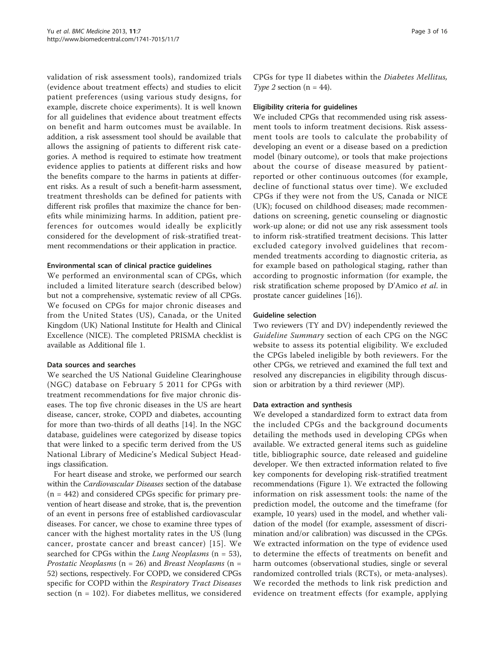validation of risk assessment tools), randomized trials (evidence about treatment effects) and studies to elicit patient preferences (using various study designs, for example, discrete choice experiments). It is well known for all guidelines that evidence about treatment effects on benefit and harm outcomes must be available. In addition, a risk assessment tool should be available that allows the assigning of patients to different risk categories. A method is required to estimate how treatment evidence applies to patients at different risks and how the benefits compare to the harms in patients at different risks. As a result of such a benefit-harm assessment, treatment thresholds can be defined for patients with different risk profiles that maximize the chance for benefits while minimizing harms. In addition, patient preferences for outcomes would ideally be explicitly considered for the development of risk-stratified treatment recommendations or their application in practice.

#### Environmental scan of clinical practice guidelines

We performed an environmental scan of CPGs, which included a limited literature search (described below) but not a comprehensive, systematic review of all CPGs. We focused on CPGs for major chronic diseases and from the United States (US), Canada, or the United Kingdom (UK) National Institute for Health and Clinical Excellence (NICE). The completed PRISMA checklist is available as Additional file [1.](#page-13-0)

#### Data sources and searches

We searched the US National Guideline Clearinghouse (NGC) database on February 5 2011 for CPGs with treatment recommendations for five major chronic diseases. The top five chronic diseases in the US are heart disease, cancer, stroke, COPD and diabetes, accounting for more than two-thirds of all deaths [[14\]](#page-14-0). In the NGC database, guidelines were categorized by disease topics that were linked to a specific term derived from the US National Library of Medicine's Medical Subject Headings classification.

For heart disease and stroke, we performed our search within the Cardiovascular Diseases section of the database  $(n = 442)$  and considered CPGs specific for primary prevention of heart disease and stroke, that is, the prevention of an event in persons free of established cardiovascular diseases. For cancer, we chose to examine three types of cancer with the highest mortality rates in the US (lung cancer, prostate cancer and breast cancer) [\[15\]](#page-14-0). We searched for CPGs within the Lung Neoplasms ( $n = 53$ ), *Prostatic Neoplasms* ( $n = 26$ ) and *Breast Neoplasms* ( $n =$ 52) sections, respectively. For COPD, we considered CPGs specific for COPD within the Respiratory Tract Diseases section ( $n = 102$ ). For diabetes mellitus, we considered CPGs for type II diabetes within the Diabetes Mellitus, Type 2 section ( $n = 44$ ).

#### Eligibility criteria for guidelines

We included CPGs that recommended using risk assessment tools to inform treatment decisions. Risk assessment tools are tools to calculate the probability of developing an event or a disease based on a prediction model (binary outcome), or tools that make projections about the course of disease measured by patientreported or other continuous outcomes (for example, decline of functional status over time). We excluded CPGs if they were not from the US, Canada or NICE (UK); focused on childhood diseases; made recommendations on screening, genetic counseling or diagnostic work-up alone; or did not use any risk assessment tools to inform risk-stratified treatment decisions. This latter excluded category involved guidelines that recommended treatments according to diagnostic criteria, as for example based on pathological staging, rather than according to prognostic information (for example, the risk stratification scheme proposed by D'Amico et al. in prostate cancer guidelines [[16](#page-14-0)]).

#### Guideline selection

Two reviewers (TY and DV) independently reviewed the Guideline Summary section of each CPG on the NGC website to assess its potential eligibility. We excluded the CPGs labeled ineligible by both reviewers. For the other CPGs, we retrieved and examined the full text and resolved any discrepancies in eligibility through discussion or arbitration by a third reviewer (MP).

#### Data extraction and synthesis

We developed a standardized form to extract data from the included CPGs and the background documents detailing the methods used in developing CPGs when available. We extracted general items such as guideline title, bibliographic source, date released and guideline developer. We then extracted information related to five key components for developing risk-stratified treatment recommendations (Figure [1](#page-1-0)). We extracted the following information on risk assessment tools: the name of the prediction model, the outcome and the timeframe (for example, 10 years) used in the model, and whether validation of the model (for example, assessment of discrimination and/or calibration) was discussed in the CPGs. We extracted information on the type of evidence used to determine the effects of treatments on benefit and harm outcomes (observational studies, single or several randomized controlled trials (RCTs), or meta-analyses). We recorded the methods to link risk prediction and evidence on treatment effects (for example, applying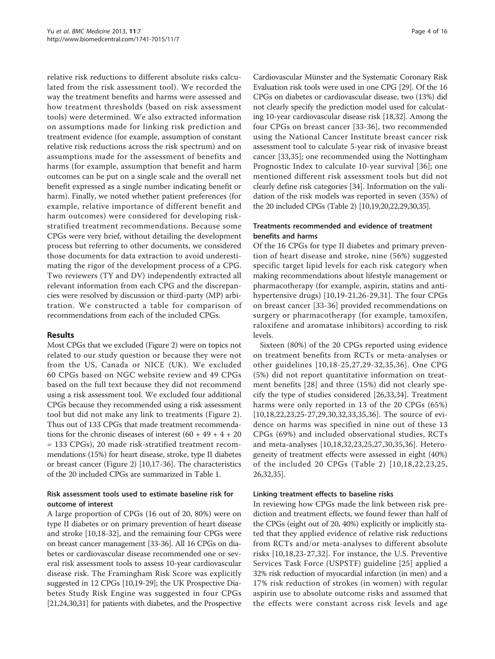relative risk reductions to different absolute risks calculated from the risk assessment tool). We recorded the way the treatment benefits and harms were assessed and how treatment thresholds (based on risk assessment tools) were determined. We also extracted information on assumptions made for linking risk prediction and treatment evidence (for example, assumption of constant relative risk reductions across the risk spectrum) and on assumptions made for the assessment of benefits and harms (for example, assumption that benefit and harm outcomes can be put on a single scale and the overall net benefit expressed as a single number indicating benefit or harm). Finally, we noted whether patient preferences (for example, relative importance of different benefit and harm outcomes) were considered for developing riskstratified treatment recommendations. Because some CPGs were very brief, without detailing the development process but referring to other documents, we considered those documents for data extraction to avoid underestimating the rigor of the development process of a CPG. Two reviewers (TY and DV) independently extracted all relevant information from each CPG and the discrepancies were resolved by discussion or third-party (MP) arbitration. We constructed a table for comparison of recommendations from each of the included CPGs.

#### Results

Most CPGs that we excluded (Figure [2\)](#page-4-0) were on topics not related to our study question or because they were not from the US, Canada or NICE (UK). We excluded 60 CPGs based on NGC website review and 49 CPGs based on the full text because they did not recommend using a risk assessment tool. We excluded four additional CPGs because they recommended using a risk assessment tool but did not make any link to treatments (Figure [2](#page-4-0)). Thus out of 133 CPGs that made treatment recommendations for the chronic diseases of interest  $(60 + 49 + 4 + 20)$ = 133 CPGs), 20 made risk-stratified treatment recommendations (15%) for heart disease, stroke, type II diabetes or breast cancer (Figure [2](#page-4-0)) [[10](#page-14-0),[17](#page-14-0)-[36\]](#page-14-0). The characteristics of the 20 included CPGs are summarized in Table [1.](#page-5-0)

## Risk assessment tools used to estimate baseline risk for outcome of interest

A large proportion of CPGs (16 out of 20, 80%) were on type II diabetes or on primary prevention of heart disease and stroke [\[10,18](#page-14-0)-[32](#page-14-0)], and the remaining four CPGs were on breast cancer management [[33](#page-14-0)-[36](#page-14-0)]. All 16 CPGs on diabetes or cardiovascular disease recommended one or several risk assessment tools to assess 10-year cardiovascular disease risk. The Framingham Risk Score was explicitly suggested in 12 CPGs [\[10,19-29\]](#page-14-0); the UK Prospective Diabetes Study Risk Engine was suggested in four CPGs [[21,24,30,31\]](#page-14-0) for patients with diabetes, and the Prospective

Cardiovascular Münster and the Systematic Coronary Risk Evaluation risk tools were used in one CPG [\[29\]](#page-14-0). Of the 16 CPGs on diabetes or cardiovascular disease, two (13%) did not clearly specify the prediction model used for calculating 10-year cardiovascular disease risk [[18](#page-14-0),[32](#page-14-0)]. Among the four CPGs on breast cancer [[33-36\]](#page-14-0), two recommended using the National Cancer Institute breast cancer risk assessment tool to calculate 5-year risk of invasive breast cancer [[33,35\]](#page-14-0); one recommended using the Nottingham Prognostic Index to calculate 10-year survival [[36\]](#page-14-0); one mentioned different risk assessment tools but did not clearly define risk categories [[34](#page-14-0)]. Information on the validation of the risk models was reported in seven (35%) of the 20 included CPGs (Table [2](#page-6-0)) [\[10,19,20,22,29,30,35](#page-14-0)].

## Treatments recommended and evidence of treatment benefits and harms

Of the 16 CPGs for type II diabetes and primary prevention of heart disease and stroke, nine (56%) suggested specific target lipid levels for each risk category when making recommendations about lifestyle management or pharmacotherapy (for example, aspirin, statins and antihypertensive drugs) [[10,19](#page-14-0)-[21,26](#page-14-0)-[29,31](#page-14-0)]. The four CPGs on breast cancer [[33](#page-14-0)-[36\]](#page-14-0) provided recommendations on surgery or pharmacotherapy (for example, tamoxifen, raloxifene and aromatase inhibitors) according to risk levels.

Sixteen (80%) of the 20 CPGs reported using evidence on treatment benefits from RCTs or meta-analyses or other guidelines [[10](#page-14-0),[18](#page-14-0)-[25,27,29-32,35,36\]](#page-14-0). One CPG (5%) did not report quantitative information on treatment benefits [[28](#page-14-0)] and three (15%) did not clearly specify the type of studies considered [[26,33,34\]](#page-14-0). Treatment harms were only reported in 13 of the 20 CPGs (65%) [[10,18,22,23](#page-14-0),[25](#page-14-0)-[27,29,30](#page-14-0),[32](#page-14-0),[33,35,36\]](#page-14-0). The source of evidence on harms was specified in nine out of these 13 CPGs (69%) and included observational studies, RCTs and meta-analyses [[10,18,32,23,25,27,30](#page-14-0),[35,36](#page-14-0)]. Heterogeneity of treatment effects were assessed in eight (40%) of the included 20 CPGs (Table [2](#page-6-0)) [[10](#page-14-0),[18](#page-14-0),[22,23](#page-14-0),[25](#page-14-0), [26](#page-14-0),[32](#page-14-0),[35](#page-14-0)].

#### Linking treatment effects to baseline risks

In reviewing how CPGs made the link between risk prediction and treatment effects, we found fewer than half of the CPGs (eight out of 20, 40%) explicitly or implicitly stated that they applied evidence of relative risk reductions from RCTs and/or meta-analyses to different absolute risks [[10,18,23-27](#page-14-0),[32\]](#page-14-0). For instance, the U.S. Preventive Services Task Force (USPSTF) guideline [\[25\]](#page-14-0) applied a 32% risk reduction of myocardial infarction (in men) and a 17% risk reduction of strokes (in women) with regular aspirin use to absolute outcome risks and assumed that the effects were constant across risk levels and age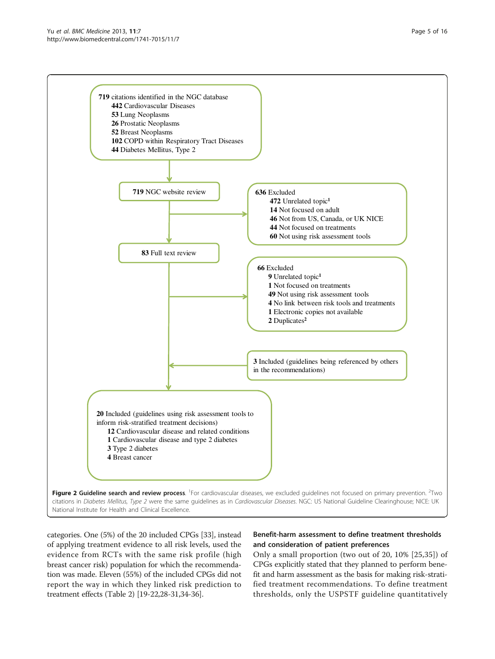<span id="page-4-0"></span>

categories. One (5%) of the 20 included CPGs [[33](#page-14-0)], instead of applying treatment evidence to all risk levels, used the evidence from RCTs with the same risk profile (high breast cancer risk) population for which the recommendation was made. Eleven (55%) of the included CPGs did not report the way in which they linked risk prediction to treatment effects (Table [2](#page-6-0)) [[19](#page-14-0)-[22](#page-14-0),[28](#page-14-0)-[31,34-36\]](#page-14-0).

## Benefit-harm assessment to define treatment thresholds and consideration of patient preferences

Only a small proportion (two out of 20, 10% [\[25](#page-14-0),[35\]](#page-14-0)) of CPGs explicitly stated that they planned to perform benefit and harm assessment as the basis for making risk-stratified treatment recommendations. To define treatment thresholds, only the USPSTF guideline quantitatively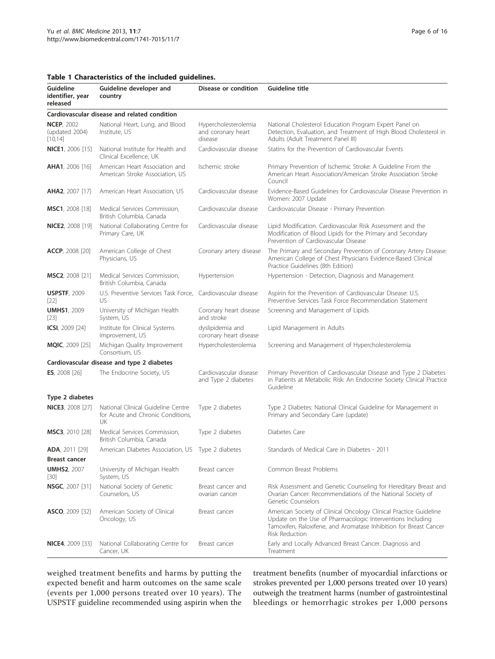#### <span id="page-5-0"></span>Table 1 Characteristics of the included guidelines.

| Guideline<br>identifier, year<br>released       | Guideline developer and<br>country                                            | Disease or condition                                  | Guideline title                                                                                                                                                                                                               |
|-------------------------------------------------|-------------------------------------------------------------------------------|-------------------------------------------------------|-------------------------------------------------------------------------------------------------------------------------------------------------------------------------------------------------------------------------------|
|                                                 | Cardiovascular disease and related condition                                  |                                                       |                                                                                                                                                                                                                               |
| <b>NCEP, 2002</b><br>(updated 2004)<br>[10, 14] | National Heart, Lung, and Blood<br>Institute, US                              | Hypercholesterolemia<br>and coronary heart<br>disease | National Cholesterol Education Program Expert Panel on<br>Detection, Evaluation, and Treatment of High Blood Cholesterol in<br>Adults (Adult Treatment Panel III)                                                             |
| NICE1, 2006 [15]                                | National Institute for Health and<br>Clinical Excellence, UK                  | Cardiovascular disease                                | Statins for the Prevention of Cardiovascular Events                                                                                                                                                                           |
| <b>AHA1</b> , 2006 [16]                         | American Heart Association and<br>American Stroke Association, US             | Ischemic stroke                                       | Primary Prevention of Ischemic Stroke: A Guideline From the<br>American Heart Association/American Stroke Association Stroke<br>Council                                                                                       |
| <b>AHA2, 2007 [17]</b>                          | American Heart Association, US                                                | Cardiovascular disease                                | Evidence-Based Guidelines for Cardiovascular Disease Prevention in<br>Women: 2007 Update                                                                                                                                      |
| <b>MSC1</b> , 2008 [18]                         | Medical Services Commission,<br>British Columbia, Canada                      | Cardiovascular disease                                | Cardiovascular Disease - Primary Prevention                                                                                                                                                                                   |
| <b>NICE2, 2008 [19]</b>                         | National Collaborating Centre for<br>Primary Care, UK                         | Cardiovascular disease                                | Lipid Modification. Cardiovascular Risk Assessment and the<br>Modification of Blood Lipids for the Primary and Secondary<br>Prevention of Cardiovascular Disease                                                              |
| <b>ACCP, 2008 [20]</b>                          | American College of Chest<br>Physicians, US                                   | Coronary artery disease                               | The Primary and Secondary Prevention of Coronary Artery Disease:<br>American College of Chest Physicians Evidence-Based Clinical<br>Practice Guidelines (8th Edition)                                                         |
| <b>MSC2</b> , 2008 [21]                         | Medical Services Commission,<br>British Columbia, Canada                      | Hypertension                                          | Hypertension - Detection, Diagnosis and Management                                                                                                                                                                            |
| <b>USPSTF, 2009</b><br>$[22]$                   | U.S. Preventive Services Task Force,<br>US                                    | Cardiovascular disease                                | Aspirin for the Prevention of Cardiovascular Disease: U.S.<br>Preventive Services Task Force Recommendation Statement                                                                                                         |
| <b>UMHS1, 2009</b><br>$[23]$                    | University of Michigan Health<br>System, US                                   | Coronary heart disease<br>and stroke                  | Screening and Management of Lipids                                                                                                                                                                                            |
| <b>ICSI</b> , 2009 [24]                         | Institute for Clinical Systems<br>Improvement, US                             | dyslipidemia and<br>coronary heart disease            | Lipid Management in Adults                                                                                                                                                                                                    |
| <b>MQIC</b> , 2009 [25]                         | Michigan Quality Improvement<br>Consortium, US                                | Hypercholesterolemia                                  | Screening and Management of Hypercholesterolemia                                                                                                                                                                              |
|                                                 | Cardiovascular disease and type 2 diabetes                                    |                                                       |                                                                                                                                                                                                                               |
| <b>ES</b> , 2008 [26]                           | The Endocrine Society, US                                                     | Cardiovascular disease<br>and Type 2 diabetes         | Primary Prevention of Cardiovascular Disease and Type 2 Diabetes<br>in Patients at Metabolic Risk: An Endocrine Society Clinical Practice<br>Guideline                                                                        |
| Type 2 diabetes                                 |                                                                               |                                                       |                                                                                                                                                                                                                               |
| <b>NICE3, 2008 [27]</b>                         | National Clinical Guideline Centre<br>for Acute and Chronic Conditions,<br>UK | Type 2 diabetes                                       | Type 2 Diabetes: National Clinical Guideline for Management in<br>Primary and Secondary Care (update)                                                                                                                         |
| <b>MSC3</b> , 2010 [28]                         | Medical Services Commission,<br>British Columbia, Canada                      | Type 2 diabetes                                       | Diabetes Care                                                                                                                                                                                                                 |
| <b>ADA, 2011</b> [29]<br><b>Breast cancer</b>   | American Diabetes Association, US Type 2 diabetes                             |                                                       | Standards of Medical Care in Diabetes - 2011                                                                                                                                                                                  |
| <b>UMHS2, 2007</b><br>[30]                      | University of Michigan Health<br>System, US                                   | Breast cancer                                         | Common Breast Problems                                                                                                                                                                                                        |
| <b>NSGC, 2007 [31]</b>                          | National Society of Genetic<br>Counselors, US                                 | Breast cancer and<br>ovarian cancer                   | Risk Assessment and Genetic Counseling for Hereditary Breast and<br>Ovarian Cancer: Recommendations of the National Society of<br>Genetic Counselors                                                                          |
| ASCO, 2009 [32]                                 | American Society of Clinical<br>Oncology, US                                  | Breast cancer                                         | American Society of Clinical Oncology Clinical Practice Guideline<br>Update on the Use of Pharmacologic Interventions Including<br>Tamoxifen, Raloxifene, and Aromatase Inhibition for Breast Cancer<br><b>Risk Reduction</b> |
| <b>NICE4, 2009 [33]</b>                         | National Collaborating Centre for<br>Cancer, UK                               | Breast cancer                                         | Early and Locally Advanced Breast Cancer. Diagnosis and<br>Treatment                                                                                                                                                          |

weighed treatment benefits and harms by putting the expected benefit and harm outcomes on the same scale (events per 1,000 persons treated over 10 years). The USPSTF guideline recommended using aspirin when the treatment benefits (number of myocardial infarctions or strokes prevented per 1,000 persons treated over 10 years) outweigh the treatment harms (number of gastrointestinal bleedings or hemorrhagic strokes per 1,000 persons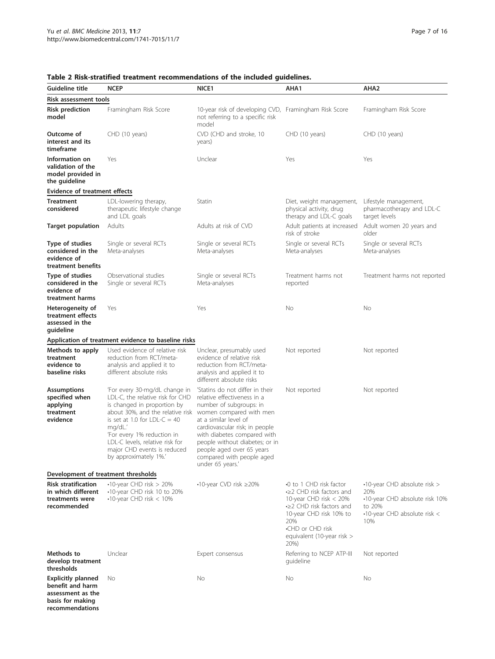recommendations

<span id="page-6-0"></span>

| Table 2 Risk-stratified treatment recommendations of the included guidelines. |  |  |  |  |  |
|-------------------------------------------------------------------------------|--|--|--|--|--|
|-------------------------------------------------------------------------------|--|--|--|--|--|

| <b>Guideline title</b>                                                                 | <b>NCEP</b>                                                                                                                                                                                                                                                                                                                     | NICE <sub>1</sub>                                                                                                                                                                                                                                                                                   | AHA1                                                                                                                                                                                                     | AHA2                                                                                                                                 |
|----------------------------------------------------------------------------------------|---------------------------------------------------------------------------------------------------------------------------------------------------------------------------------------------------------------------------------------------------------------------------------------------------------------------------------|-----------------------------------------------------------------------------------------------------------------------------------------------------------------------------------------------------------------------------------------------------------------------------------------------------|----------------------------------------------------------------------------------------------------------------------------------------------------------------------------------------------------------|--------------------------------------------------------------------------------------------------------------------------------------|
| Risk assessment tools                                                                  |                                                                                                                                                                                                                                                                                                                                 |                                                                                                                                                                                                                                                                                                     |                                                                                                                                                                                                          |                                                                                                                                      |
| <b>Risk prediction</b><br>model                                                        | Framingham Risk Score                                                                                                                                                                                                                                                                                                           | 10-year risk of developing CVD, Framingham Risk Score<br>not referring to a specific risk<br>model                                                                                                                                                                                                  |                                                                                                                                                                                                          | Framingham Risk Score                                                                                                                |
| Outcome of<br>interest and its<br>timeframe                                            | CHD (10 years)                                                                                                                                                                                                                                                                                                                  | CVD (CHD and stroke, 10<br>years)                                                                                                                                                                                                                                                                   | CHD (10 years)                                                                                                                                                                                           | CHD (10 years)                                                                                                                       |
| Information on<br>validation of the<br>model provided in<br>the guideline              | Yes                                                                                                                                                                                                                                                                                                                             | Unclear                                                                                                                                                                                                                                                                                             | Yes                                                                                                                                                                                                      | Yes                                                                                                                                  |
| <b>Evidence of treatment effects</b>                                                   |                                                                                                                                                                                                                                                                                                                                 |                                                                                                                                                                                                                                                                                                     |                                                                                                                                                                                                          |                                                                                                                                      |
| <b>Treatment</b><br>considered                                                         | LDL-lowering therapy,<br>therapeutic lifestyle change<br>and LDL goals                                                                                                                                                                                                                                                          | Statin                                                                                                                                                                                                                                                                                              | Diet, weight management,<br>physical activity, drug<br>therapy and LDL-C goals                                                                                                                           | Lifestyle management,<br>pharmacotherapy and LDL-C<br>target levels                                                                  |
| <b>Target population</b>                                                               | Adults                                                                                                                                                                                                                                                                                                                          | Adults at risk of CVD                                                                                                                                                                                                                                                                               | Adult patients at increased<br>risk of stroke                                                                                                                                                            | Adult women 20 years and<br>older                                                                                                    |
| Type of studies<br>considered in the<br>evidence of<br>treatment benefits              | Single or several RCTs<br>Meta-analyses                                                                                                                                                                                                                                                                                         | Single or several RCTs<br>Meta-analyses                                                                                                                                                                                                                                                             | Single or several RCTs<br>Meta-analyses                                                                                                                                                                  | Single or several RCTs<br>Meta-analyses                                                                                              |
| Type of studies<br>considered in the<br>evidence of<br>treatment harms                 | Observational studies<br>Single or several RCTs                                                                                                                                                                                                                                                                                 | Single or several RCTs<br>Meta-analyses                                                                                                                                                                                                                                                             | Treatment harms not<br>reported                                                                                                                                                                          | Treatment harms not reported                                                                                                         |
| Heterogeneity of<br>treatment effects<br>assessed in the<br>guideline                  | Yes                                                                                                                                                                                                                                                                                                                             | Yes                                                                                                                                                                                                                                                                                                 | No                                                                                                                                                                                                       | No                                                                                                                                   |
|                                                                                        | Application of treatment evidence to baseline risks                                                                                                                                                                                                                                                                             |                                                                                                                                                                                                                                                                                                     |                                                                                                                                                                                                          |                                                                                                                                      |
| Methods to apply<br>treatment<br>evidence to<br>baseline risks                         | Used evidence of relative risk<br>reduction from RCT/meta-<br>analysis and applied it to<br>different absolute risks                                                                                                                                                                                                            | Unclear, presumably used<br>evidence of relative risk<br>reduction from RCT/meta-<br>analysis and applied it to<br>different absolute risks                                                                                                                                                         | Not reported                                                                                                                                                                                             | Not reported                                                                                                                         |
| <b>Assumptions</b><br>specified when<br>applying<br>treatment<br>evidence              | 'For every 30-mg/dL change in<br>LDL-C, the relative risk for CHD<br>is changed in proportion by<br>about 30%, and the relative risk women compared with men<br>is set at 1.0 for LDL-C = 40<br>mg/dL.'<br>'For every 1% reduction in<br>LDL-C levels, relative risk for<br>major CHD events is reduced<br>by approximately 1%. | 'Statins do not differ in their<br>relative effectiveness in a<br>number of subgroups: in<br>at a similar level of<br>cardiovascular risk; in people<br>with diabetes compared with<br>people without diabetes; or in<br>people aged over 65 years<br>compared with people aged<br>under 65 years.' | Not reported                                                                                                                                                                                             | Not reported                                                                                                                         |
| Development of treatment thresholds                                                    |                                                                                                                                                                                                                                                                                                                                 |                                                                                                                                                                                                                                                                                                     |                                                                                                                                                                                                          |                                                                                                                                      |
| <b>Risk stratification</b><br>in which different<br>treatments were<br>recommended     | $\cdot$ 10-year CHD risk > 20%<br>•10-year CHD risk 10 to 20%<br>$\cdot$ 10-year CHD risk < 10%                                                                                                                                                                                                                                 | $\cdot$ 10-year CVD risk $\geq$ 20%                                                                                                                                                                                                                                                                 | •0 to 1 CHD risk factor<br>•≥2 CHD risk factors and<br>10-year CHD risk $<$ 20%<br>• ≥2 CHD risk factors and<br>10-year CHD risk 10% to<br>20%<br>•CHD or CHD risk<br>equivalent (10-year risk ><br>20%) | $\cdot$ 10-year CHD absolute risk ><br>20%<br>•10-year CHD absolute risk 10%<br>to 20%<br>$\cdot$ 10-year CHD absolute risk <<br>10% |
| Methods to<br>develop treatment<br>thresholds                                          | Unclear                                                                                                                                                                                                                                                                                                                         | Expert consensus                                                                                                                                                                                                                                                                                    | Referring to NCEP ATP-III<br>guideline                                                                                                                                                                   | Not reported                                                                                                                         |
| <b>Explicitly planned</b><br>benefit and harm<br>assessment as the<br>basis for making | No.                                                                                                                                                                                                                                                                                                                             | No                                                                                                                                                                                                                                                                                                  | No.                                                                                                                                                                                                      | No                                                                                                                                   |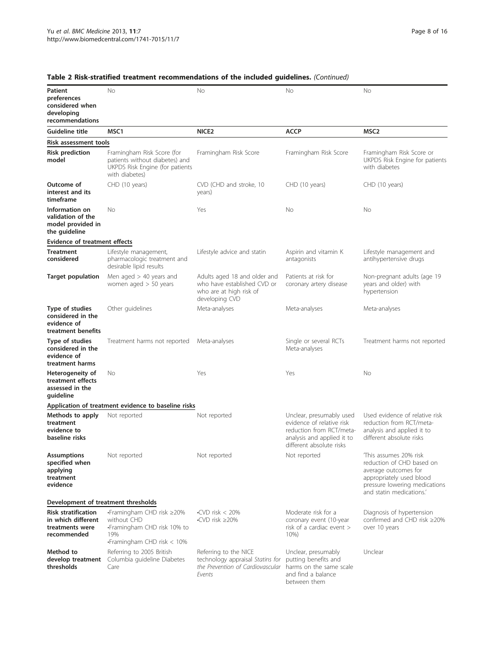| <b>Patient</b><br>preferences<br>considered when<br>developing<br>recommendations  | No                                                                                                                        | No                                                                                                       | No                                                                                                                                          | No                                                                                                                                                                  |
|------------------------------------------------------------------------------------|---------------------------------------------------------------------------------------------------------------------------|----------------------------------------------------------------------------------------------------------|---------------------------------------------------------------------------------------------------------------------------------------------|---------------------------------------------------------------------------------------------------------------------------------------------------------------------|
| <b>Guideline title</b>                                                             | MSC <sub>1</sub>                                                                                                          | NICE <sub>2</sub>                                                                                        | <b>ACCP</b>                                                                                                                                 | MSC <sub>2</sub>                                                                                                                                                    |
| Risk assessment tools                                                              |                                                                                                                           |                                                                                                          |                                                                                                                                             |                                                                                                                                                                     |
| <b>Risk prediction</b><br>model                                                    | Framingham Risk Score (for<br>patients without diabetes) and<br>UKPDS Risk Engine (for patients<br>with diabetes)         | Framingham Risk Score                                                                                    | Framingham Risk Score                                                                                                                       | Framingham Risk Score or<br>UKPDS Risk Engine for patients<br>with diabetes                                                                                         |
| Outcome of<br>interest and its<br>timeframe                                        | CHD (10 years)                                                                                                            | CVD (CHD and stroke, 10<br>years)                                                                        | CHD (10 years)                                                                                                                              | CHD (10 years)                                                                                                                                                      |
| Information on<br>validation of the<br>model provided in<br>the guideline          | No                                                                                                                        | Yes                                                                                                      | No.                                                                                                                                         | No                                                                                                                                                                  |
| <b>Evidence of treatment effects</b>                                               |                                                                                                                           |                                                                                                          |                                                                                                                                             |                                                                                                                                                                     |
| <b>Treatment</b><br>considered                                                     | Lifestyle management,<br>pharmacologic treatment and<br>desirable lipid results                                           | Lifestyle advice and statin                                                                              | Aspirin and vitamin K<br>antagonists                                                                                                        | Lifestyle management and<br>antihypertensive drugs                                                                                                                  |
| <b>Target population</b>                                                           | Men aged $> 40$ years and<br>women aged $>$ 50 years                                                                      | Adults aged 18 and older and<br>who have established CVD or<br>who are at high risk of<br>developing CVD | Patients at risk for<br>coronary artery disease                                                                                             | Non-pregnant adults (age 19<br>years and older) with<br>hypertension                                                                                                |
| Type of studies<br>considered in the<br>evidence of<br>treatment benefits          | Other guidelines                                                                                                          | Meta-analyses                                                                                            | Meta-analyses                                                                                                                               | Meta-analyses                                                                                                                                                       |
| Type of studies<br>considered in the<br>evidence of<br>treatment harms             | Treatment harms not reported                                                                                              | Meta-analyses                                                                                            | Single or several RCTs<br>Meta-analyses                                                                                                     | Treatment harms not reported                                                                                                                                        |
| Heterogeneity of<br>treatment effects<br>assessed in the<br>guideline              | No                                                                                                                        | Yes                                                                                                      | Yes                                                                                                                                         | No                                                                                                                                                                  |
|                                                                                    | Application of treatment evidence to baseline risks                                                                       |                                                                                                          |                                                                                                                                             |                                                                                                                                                                     |
| Methods to apply<br>treatment<br>evidence to<br>baseline risks                     | Not reported                                                                                                              | Not reported                                                                                             | Unclear, presumably used<br>evidence of relative risk<br>reduction from RCT/meta-<br>analysis and applied it to<br>different absolute risks | Used evidence of relative risk<br>reduction from RCT/meta-<br>analysis and applied it to<br>different absolute risks                                                |
| <b>Assumptions</b><br>specified when<br>applying<br>treatment<br>evidence          | Not reported                                                                                                              | Not reported                                                                                             | Not reported                                                                                                                                | This assumes 20% risk<br>reduction of CHD based on<br>average outcomes for<br>appropriately used blood<br>pressure lowering medications<br>and statin medications.' |
| Development of treatment thresholds                                                |                                                                                                                           |                                                                                                          |                                                                                                                                             |                                                                                                                                                                     |
| <b>Risk stratification</b><br>in which different<br>treatments were<br>recommended | $\cdot$ Framingham CHD risk $\geq$ 20%<br>without CHD<br>•Framingham CHD risk 10% to<br>19%<br>-Framingham CHD risk < 10% | $\cdot$ CVD risk < 20%<br>$\cdot$ CVD risk $\geq$ 20%                                                    | Moderate risk for a<br>coronary event (10-year<br>risk of a cardiac event ><br>10%                                                          | Diagnosis of hypertension<br>confirmed and CHD risk ≥20%<br>over 10 years                                                                                           |
| Method to<br>develop treatment<br>thresholds                                       | Referring to 2005 British<br>Columbia guideline Diabetes<br>Care                                                          | Referring to the NICE<br>technology appraisal Statins for<br>the Prevention of Cardiovascular<br>Events  | Unclear, presumably<br>putting benefits and<br>harms on the same scale<br>and find a balance<br>between them                                | Unclear                                                                                                                                                             |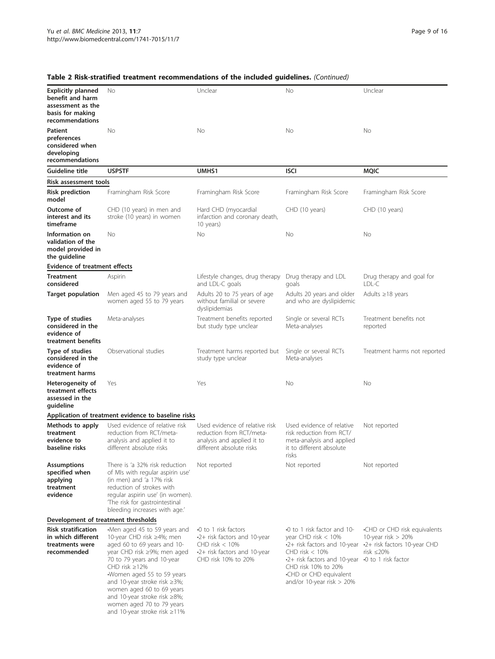| <b>Explicitly planned</b><br>benefit and harm<br>assessment as the<br>basis for making<br>recommendations | No                                                                                                                                                                                                                                                                                                                                                                                      | Unclear                                                                                                                            | No                                                                                                                                                                                                                                                          | Unclear                                                                                                  |
|-----------------------------------------------------------------------------------------------------------|-----------------------------------------------------------------------------------------------------------------------------------------------------------------------------------------------------------------------------------------------------------------------------------------------------------------------------------------------------------------------------------------|------------------------------------------------------------------------------------------------------------------------------------|-------------------------------------------------------------------------------------------------------------------------------------------------------------------------------------------------------------------------------------------------------------|----------------------------------------------------------------------------------------------------------|
| <b>Patient</b><br>preferences<br>considered when<br>developing<br>recommendations                         | No.                                                                                                                                                                                                                                                                                                                                                                                     | No                                                                                                                                 | No                                                                                                                                                                                                                                                          | No                                                                                                       |
| <b>Guideline title</b>                                                                                    | <b>USPSTF</b>                                                                                                                                                                                                                                                                                                                                                                           | UMHS1                                                                                                                              | ISCI                                                                                                                                                                                                                                                        | <b>MQIC</b>                                                                                              |
| Risk assessment tools                                                                                     |                                                                                                                                                                                                                                                                                                                                                                                         |                                                                                                                                    |                                                                                                                                                                                                                                                             |                                                                                                          |
| <b>Risk prediction</b><br>model                                                                           | Framingham Risk Score                                                                                                                                                                                                                                                                                                                                                                   | Framingham Risk Score                                                                                                              | Framingham Risk Score                                                                                                                                                                                                                                       | Framingham Risk Score                                                                                    |
| Outcome of<br>interest and its<br>timeframe                                                               | CHD (10 years) in men and<br>stroke (10 years) in women                                                                                                                                                                                                                                                                                                                                 | Hard CHD (myocardial<br>infarction and coronary death,<br>10 years)                                                                | CHD (10 years)                                                                                                                                                                                                                                              | CHD (10 years)                                                                                           |
| Information on<br>validation of the<br>model provided in<br>the guideline                                 | No                                                                                                                                                                                                                                                                                                                                                                                      | No                                                                                                                                 | No                                                                                                                                                                                                                                                          | No                                                                                                       |
| <b>Evidence of treatment effects</b>                                                                      |                                                                                                                                                                                                                                                                                                                                                                                         |                                                                                                                                    |                                                                                                                                                                                                                                                             |                                                                                                          |
| <b>Treatment</b><br>considered                                                                            | Aspirin                                                                                                                                                                                                                                                                                                                                                                                 | Lifestyle changes, drug therapy<br>and LDL-C goals                                                                                 | Drug therapy and LDL<br>goals                                                                                                                                                                                                                               | Drug therapy and goal for<br>LDL-C                                                                       |
| <b>Target population</b>                                                                                  | Men aged 45 to 79 years and<br>women aged 55 to 79 years                                                                                                                                                                                                                                                                                                                                | Adults 20 to 75 years of age<br>without familial or severe<br>dyslipidemias                                                        | Adults 20 years and older<br>and who are dyslipidemic                                                                                                                                                                                                       | Adults $\geq$ 18 years                                                                                   |
| Type of studies<br>considered in the<br>evidence of<br>treatment benefits                                 | Meta-analyses                                                                                                                                                                                                                                                                                                                                                                           | Treatment benefits reported<br>but study type unclear                                                                              | Single or several RCTs<br>Meta-analyses                                                                                                                                                                                                                     | Treatment benefits not<br>reported                                                                       |
| Type of studies<br>considered in the<br>evidence of<br>treatment harms                                    | Observational studies                                                                                                                                                                                                                                                                                                                                                                   | Treatment harms reported but<br>study type unclear                                                                                 | Single or several RCTs<br>Meta-analyses                                                                                                                                                                                                                     | Treatment harms not reported                                                                             |
| Heterogeneity of<br>treatment effects<br>assessed in the<br>guideline                                     | Yes                                                                                                                                                                                                                                                                                                                                                                                     | Yes                                                                                                                                | No                                                                                                                                                                                                                                                          | No                                                                                                       |
|                                                                                                           | Application of treatment evidence to baseline risks                                                                                                                                                                                                                                                                                                                                     |                                                                                                                                    |                                                                                                                                                                                                                                                             |                                                                                                          |
| Methods to apply<br>treatment<br>evidence to<br>baseline risks                                            | Used evidence of relative risk<br>reduction from RCT/meta-<br>analysis and applied it to<br>different absolute risks                                                                                                                                                                                                                                                                    | Used evidence of relative risk<br>reduction from RCT/meta-<br>analysis and applied it to<br>different absolute risks               | Used evidence of relative<br>risk reduction from RCT/<br>meta-analysis and applied<br>it to different absolute<br>risks                                                                                                                                     | Not reported                                                                                             |
| <b>Assumptions</b><br>specified when<br>applying<br>treatment<br>evidence                                 | There is 'a 32% risk reduction<br>of MIs with regular aspirin use'<br>(in men) and 'a 17% risk<br>reduction of strokes with<br>regular aspirin use' (in women).<br>The risk for gastrointestinal<br>bleeding increases with age."                                                                                                                                                       | Not reported                                                                                                                       | Not reported                                                                                                                                                                                                                                                | Not reported                                                                                             |
| Development of treatment thresholds                                                                       |                                                                                                                                                                                                                                                                                                                                                                                         |                                                                                                                                    |                                                                                                                                                                                                                                                             |                                                                                                          |
| <b>Risk stratification</b><br>in which different<br>treatments were<br>recommended                        | •Men aged 45 to 59 years and<br>10-year CHD risk ≥4%; men<br>aged 60 to 69 years and 10-<br>year CHD risk ≥9%; men aged<br>70 to 79 years and 10-year<br>CHD risk $\geq$ 12%<br>Women aged 55 to 59 years<br>and 10-year stroke risk $\geq$ 3%;<br>women aged 60 to 69 years<br>and 10-year stroke risk $\geq 8\%$ ;<br>women aged 70 to 79 years<br>and 10-year stroke risk $\geq$ 11% | •0 to 1 risk factors<br>•2+ risk factors and 10-year<br>$CHD$ risk $< 10\%$<br>•2+ risk factors and 10-year<br>CHD risk 10% to 20% | -0 to 1 risk factor and 10-<br>year CHD risk $<$ 10%<br>$\cdot$ 2+ risk factors and 10-year<br>$CHD$ risk $< 10\%$<br>$-2+$ risk factors and 10-year $-0$ to 1 risk factor<br>CHD risk 10% to 20%<br>•CHD or CHD equivalent<br>and/or 10-year risk $> 20\%$ | •CHD or CHD risk equivalents<br>10-year risk $> 20\%$<br>•2+ risk factors 10-year CHD<br>risk $\leq$ 20% |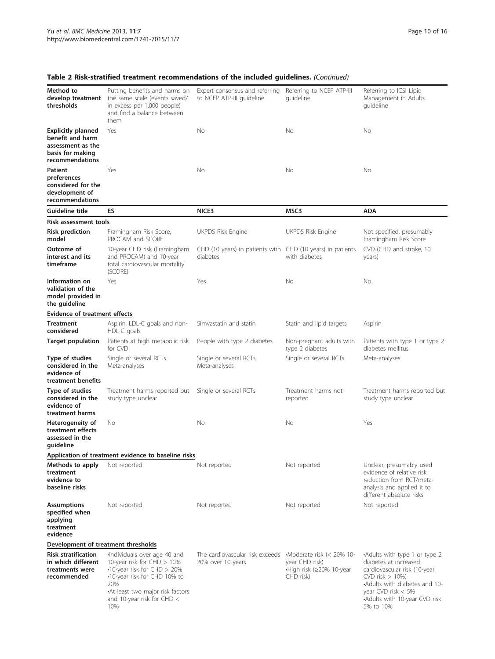| Table 2 Risk-stratified treatment recommendations of the included guidelines. (Continued) |  |  |  |  |  |  |
|-------------------------------------------------------------------------------------------|--|--|--|--|--|--|
|-------------------------------------------------------------------------------------------|--|--|--|--|--|--|

| Method to<br>develop treatment<br>thresholds                                                              | Putting benefits and harms on<br>the same scale (events saved/<br>in excess per 1,000 people)<br>and find a balance between<br>them                                                                               | Expert consensus and referring<br>to NCEP ATP-III guideline | Referring to NCEP ATP-III<br>quideline                                                 | Referring to ICSI Lipid<br>Management in Adults<br>quideline                                                                                                                                                         |
|-----------------------------------------------------------------------------------------------------------|-------------------------------------------------------------------------------------------------------------------------------------------------------------------------------------------------------------------|-------------------------------------------------------------|----------------------------------------------------------------------------------------|----------------------------------------------------------------------------------------------------------------------------------------------------------------------------------------------------------------------|
| <b>Explicitly planned</b><br>benefit and harm<br>assessment as the<br>basis for making<br>recommendations | Yes                                                                                                                                                                                                               | No                                                          | No                                                                                     | No                                                                                                                                                                                                                   |
| <b>Patient</b><br>preferences<br>considered for the<br>development of<br>recommendations                  | Yes                                                                                                                                                                                                               | No                                                          | No                                                                                     | No                                                                                                                                                                                                                   |
| Guideline title                                                                                           | ES                                                                                                                                                                                                                | NICE3                                                       | MSC3                                                                                   | ADA                                                                                                                                                                                                                  |
| Risk assessment tools                                                                                     |                                                                                                                                                                                                                   |                                                             |                                                                                        |                                                                                                                                                                                                                      |
| <b>Risk prediction</b><br>model                                                                           | Framingham Risk Score,<br>PROCAM and SCORE                                                                                                                                                                        | <b>UKPDS Risk Engine</b>                                    | <b>UKPDS Risk Engine</b>                                                               | Not specified, presumably<br>Framingham Risk Score                                                                                                                                                                   |
| Outcome of<br>interest and its<br>timeframe                                                               | 10-year CHD risk (Framingham<br>and PROCAM) and 10-year<br>total cardiovascular mortality<br>(SCORE)                                                                                                              | CHD (10 years) in patients with<br>diabetes                 | CHD (10 years) in patients<br>with diabetes                                            | CVD (CHD and stroke, 10<br>years)                                                                                                                                                                                    |
| Information on<br>validation of the<br>model provided in<br>the guideline                                 | Yes                                                                                                                                                                                                               | Yes                                                         | No                                                                                     | No                                                                                                                                                                                                                   |
| <b>Evidence of treatment effects</b>                                                                      |                                                                                                                                                                                                                   |                                                             |                                                                                        |                                                                                                                                                                                                                      |
| <b>Treatment</b><br>considered                                                                            | Aspirin, LDL-C goals and non-<br>HDL-C goals                                                                                                                                                                      | Simvastatin and statin                                      | Statin and lipid targets                                                               | Aspirin                                                                                                                                                                                                              |
| <b>Target population</b>                                                                                  | Patients at high metabolic risk<br>for CVD                                                                                                                                                                        | People with type 2 diabetes                                 | Non-pregnant adults with<br>type 2 diabetes                                            | Patients with type 1 or type 2<br>diabetes mellitus                                                                                                                                                                  |
| Type of studies<br>considered in the<br>evidence of<br>treatment benefits                                 | Single or several RCTs<br>Meta-analyses                                                                                                                                                                           | Single or several RCTs<br>Meta-analyses                     | Single or several RCTs                                                                 | Meta-analyses                                                                                                                                                                                                        |
| Type of studies<br>considered in the<br>evidence of<br>treatment harms                                    | Treatment harms reported but<br>study type unclear                                                                                                                                                                | Single or several RCTs                                      | Treatment harms not<br>reported                                                        | Treatment harms reported but<br>study type unclear                                                                                                                                                                   |
| Heterogeneity of<br>treatment effects<br>assessed in the<br>guideline                                     | No                                                                                                                                                                                                                | No                                                          | No                                                                                     | Yes                                                                                                                                                                                                                  |
|                                                                                                           | Application of treatment evidence to baseline risks                                                                                                                                                               |                                                             |                                                                                        |                                                                                                                                                                                                                      |
| <b>Methods to apply</b> Not reported<br>treatment<br>evidence to<br>baseline risks                        |                                                                                                                                                                                                                   | Not reported                                                | Not reported                                                                           | Unclear, presumably used<br>evidence of relative risk<br>reduction from RCT/meta-<br>analysis and applied it to<br>different absolute risks                                                                          |
| <b>Assumptions</b><br>specified when<br>applying<br>treatment<br>evidence                                 | Not reported                                                                                                                                                                                                      | Not reported                                                | Not reported                                                                           | Not reported                                                                                                                                                                                                         |
| Development of treatment thresholds                                                                       |                                                                                                                                                                                                                   |                                                             |                                                                                        |                                                                                                                                                                                                                      |
| <b>Risk stratification</b><br>in which different<br>treatments were<br>recommended                        | Individuals over age 40 and<br>10-year risk for $CHD > 10\%$<br>$\cdot$ 10-year risk for CHD > 20%<br>•10-year risk for CHD 10% to<br>20%<br>At least two major risk factors<br>and 10-year risk for CHD <<br>10% | The cardiovascular risk exceeds<br>20% over 10 years        | $-Moderate$ risk (< 20% 10-<br>year CHD risk)<br>·High risk (≥20% 10-year<br>CHD risk) | •Adults with type 1 or type 2<br>diabetes at increased<br>cardiovascular risk (10-year<br>$CVD$ risk $> 10\%$<br>-Adults with diabetes and 10-<br>year CVD risk $<$ 5%<br>•Adults with 10-year CVD risk<br>5% to 10% |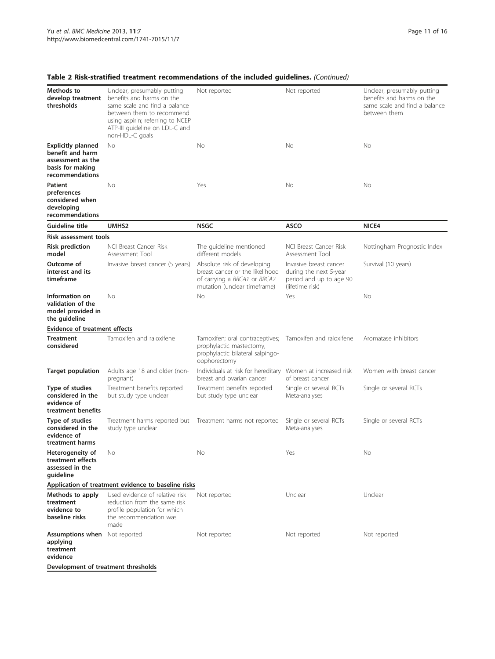| Methods to<br>develop treatment<br>thresholds                                                                    | Unclear, presumably putting<br>benefits and harms on the<br>same scale and find a balance<br>between them to recommend<br>using aspirin; referring to NCEP<br>ATP-III guideline on LDL-C and<br>non-HDL-C goals | Not reported                                                                                                                   | Not reported                                                                                   | Unclear, presumably putting<br>benefits and harms on the<br>same scale and find a balance<br>between them |
|------------------------------------------------------------------------------------------------------------------|-----------------------------------------------------------------------------------------------------------------------------------------------------------------------------------------------------------------|--------------------------------------------------------------------------------------------------------------------------------|------------------------------------------------------------------------------------------------|-----------------------------------------------------------------------------------------------------------|
| <b>Explicitly planned</b><br>benefit and harm<br>assessment as the<br>basis for making<br>recommendations        | No                                                                                                                                                                                                              | No                                                                                                                             | No                                                                                             | No                                                                                                        |
| Patient<br>preferences<br>considered when<br>developing<br>recommendations                                       | No                                                                                                                                                                                                              | Yes                                                                                                                            | No                                                                                             | No                                                                                                        |
| Guideline title                                                                                                  | UMHS <sub>2</sub>                                                                                                                                                                                               | <b>NSGC</b>                                                                                                                    | <b>ASCO</b>                                                                                    | NICE4                                                                                                     |
| Risk assessment tools                                                                                            |                                                                                                                                                                                                                 |                                                                                                                                |                                                                                                |                                                                                                           |
| <b>Risk prediction</b><br>model                                                                                  | NCI Breast Cancer Risk<br>Assessment Tool                                                                                                                                                                       | The guideline mentioned<br>different models                                                                                    | NCI Breast Cancer Risk<br>Assessment Tool                                                      | Nottingham Prognostic Index                                                                               |
| Outcome of<br>interest and its<br>timeframe                                                                      | Invasive breast cancer (5 years)                                                                                                                                                                                | Absolute risk of developing<br>breast cancer or the likelihood<br>of carrying a BRCA1 or BRCA2<br>mutation (unclear timeframe) | Invasive breast cancer<br>during the next 5-year<br>period and up to age 90<br>(lifetime risk) | Survival (10 years)                                                                                       |
| Information on<br>validation of the<br>model provided in<br>the guideline                                        | No                                                                                                                                                                                                              | No                                                                                                                             | Yes                                                                                            | No                                                                                                        |
| <b>Evidence of treatment effects</b>                                                                             |                                                                                                                                                                                                                 |                                                                                                                                |                                                                                                |                                                                                                           |
| <b>Treatment</b><br>considered                                                                                   | Tamoxifen and raloxifene                                                                                                                                                                                        | Tamoxifen; oral contraceptives;<br>prophylactic mastectomy,<br>prophylactic bilateral salpingo-<br>oophorectomy                | Tamoxifen and raloxifene                                                                       | Aromatase inhibitors                                                                                      |
| <b>Target population</b>                                                                                         | Adults age 18 and older (non-<br>pregnant)                                                                                                                                                                      | Individuals at risk for hereditary<br>breast and ovarian cancer                                                                | Women at increased risk<br>of breast cancer                                                    | Women with breast cancer                                                                                  |
| Type of studies<br>considered in the<br>evidence of<br>treatment benefits                                        | Treatment benefits reported<br>but study type unclear                                                                                                                                                           | Treatment benefits reported<br>but study type unclear                                                                          | Single or several RCTs<br>Meta-analyses                                                        | Single or several RCTs                                                                                    |
| Type of studies<br>considered in the<br>evidence of<br>treatment harms                                           | Treatment harms reported but<br>study type unclear                                                                                                                                                              | Treatment harms not reported                                                                                                   | Single or several RCTs<br>Meta-analyses                                                        | Single or several RCTs                                                                                    |
| Heterogeneity of<br>treatment effects<br>assessed in the<br>quideline                                            | No                                                                                                                                                                                                              | No                                                                                                                             | Yes                                                                                            | No                                                                                                        |
|                                                                                                                  | Application of treatment evidence to baseline risks                                                                                                                                                             |                                                                                                                                |                                                                                                |                                                                                                           |
| Methods to apply<br>treatment<br>evidence to<br>baseline risks                                                   | Used evidence of relative risk<br>reduction from the same risk<br>profile population for which<br>the recommendation was<br>made                                                                                | Not reported                                                                                                                   | Unclear                                                                                        | Unclear                                                                                                   |
| <b>Assumptions when</b> Not reported<br>applying<br>treatment<br>evidence<br>Development of treatment thresholds |                                                                                                                                                                                                                 | Not reported                                                                                                                   | Not reported                                                                                   | Not reported                                                                                              |
|                                                                                                                  |                                                                                                                                                                                                                 |                                                                                                                                |                                                                                                |                                                                                                           |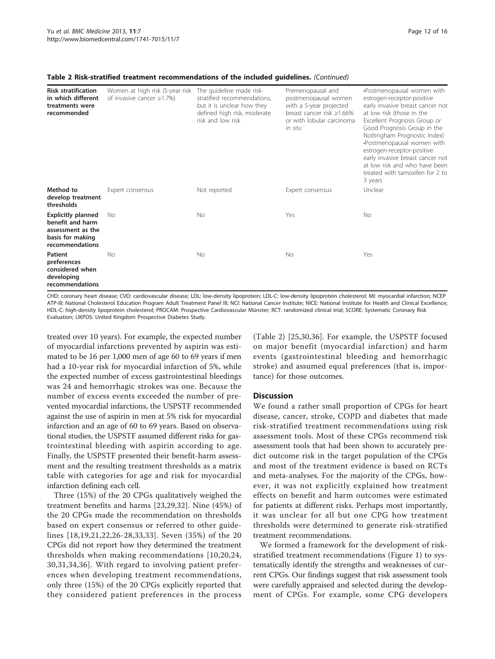| <b>Risk stratification</b><br>in which different<br>treatments were<br>recommended                        | Women at high risk (5-year risk<br>of invasive cancer $\geq$ 1.7%) | The guideline made risk-<br>stratified recommendations.<br>but it is unclear how they<br>defined high risk, moderate<br>risk and low risk | Premenopausal and<br>postmenopausal women<br>with a 5-year projected<br>breast cancer risk $\geq 1.66\%$<br>or with lobular carcinoma<br>in situ | •Postmenopausal women with<br>estrogen-receptor-positive<br>early invasive breast cancer not<br>at low risk (those in the<br>Excellent Prognosis Group or<br>Good Prognosis Group in the<br>Nottingham Prognostic Index)<br>•Postmenopausal women with<br>estrogen-receptor-positive<br>early invasive breast cancer not<br>at low risk and who have been<br>treated with tamoxifen for 2 to<br>3 years |
|-----------------------------------------------------------------------------------------------------------|--------------------------------------------------------------------|-------------------------------------------------------------------------------------------------------------------------------------------|--------------------------------------------------------------------------------------------------------------------------------------------------|---------------------------------------------------------------------------------------------------------------------------------------------------------------------------------------------------------------------------------------------------------------------------------------------------------------------------------------------------------------------------------------------------------|
| Method to<br>develop treatment<br>thresholds                                                              | Expert consensus                                                   | Not reported                                                                                                                              | Expert consensus                                                                                                                                 | Unclear                                                                                                                                                                                                                                                                                                                                                                                                 |
| <b>Explicitly planned</b><br>benefit and harm<br>assessment as the<br>basis for making<br>recommendations | No                                                                 | No                                                                                                                                        | Yes                                                                                                                                              | No                                                                                                                                                                                                                                                                                                                                                                                                      |
| Patient<br>preferences<br>considered when<br>developing<br>recommendations                                | No                                                                 | No                                                                                                                                        | No                                                                                                                                               | Yes                                                                                                                                                                                                                                                                                                                                                                                                     |

CHD: coronary heart disease; CVD: cardiovascular disease; LDL: low-density lipoprotein; LDL-C: low-density lipoprotein cholesterol; MI: myocardial infarction; NCEP ATP-III: National Cholesterol Education Program Adult Treatment Panel III; NCI: National Cancer Institute; NICE: National Institute for Health and Clinical Excellence; HDL-C: high-density lipoprotein cholesterol; PROCAM: Prospective Cardiovascular Münster; RCT: randomized clinical trial; SCORE: Systematic Coronary Risk Evaluation; UKPDS: United Kingdom Prospective Diabetes Study.

treated over 10 years). For example, the expected number of myocardial infarctions prevented by aspirin was estimated to be 16 per 1,000 men of age 60 to 69 years if men had a 10-year risk for myocardial infarction of 5%, while the expected number of excess gastrointestinal bleedings was 24 and hemorrhagic strokes was one. Because the number of excess events exceeded the number of prevented myocardial infarctions, the USPSTF recommended against the use of aspirin in men at 5% risk for myocardial infarction and an age of 60 to 69 years. Based on observational studies, the USPSTF assumed different risks for gastrointestinal bleeding with aspirin according to age. Finally, the USPSTF presented their benefit-harm assessment and the resulting treatment thresholds as a matrix table with categories for age and risk for myocardial infarction defining each cell.

Three (15%) of the 20 CPGs qualitatively weighed the treatment benefits and harms [\[23](#page-14-0),[29,32\]](#page-14-0). Nine (45%) of the 20 CPGs made the recommendation on thresholds based on expert consensus or referred to other guidelines [[18](#page-14-0),[19,21,22](#page-14-0),[26](#page-14-0)-[28](#page-14-0),[33](#page-14-0),[33](#page-14-0)]. Seven (35%) of the 20 CPGs did not report how they determined the treatment thresholds when making recommendations [\[10,20,24](#page-14-0), [30,31,34,36](#page-14-0)]. With regard to involving patient preferences when developing treatment recommendations, only three (15%) of the 20 CPGs explicitly reported that they considered patient preferences in the process

(Table [2](#page-6-0)) [[25,30](#page-14-0),[36\]](#page-14-0). For example, the USPSTF focused on major benefit (myocardial infarction) and harm events (gastrointestinal bleeding and hemorrhagic stroke) and assumed equal preferences (that is, importance) for those outcomes.

#### **Discussion**

We found a rather small proportion of CPGs for heart disease, cancer, stroke, COPD and diabetes that made risk-stratified treatment recommendations using risk assessment tools. Most of these CPGs recommend risk assessment tools that had been shown to accurately predict outcome risk in the target population of the CPGs and most of the treatment evidence is based on RCTs and meta-analyses. For the majority of the CPGs, however, it was not explicitly explained how treatment effects on benefit and harm outcomes were estimated for patients at different risks. Perhaps most importantly, it was unclear for all but one CPG how treatment thresholds were determined to generate risk-stratified treatment recommendations.

We formed a framework for the development of riskstratified treatment recommendations (Figure [1\)](#page-1-0) to systematically identify the strengths and weaknesses of current CPGs. Our findings suggest that risk assessment tools were carefully appraised and selected during the development of CPGs. For example, some CPG developers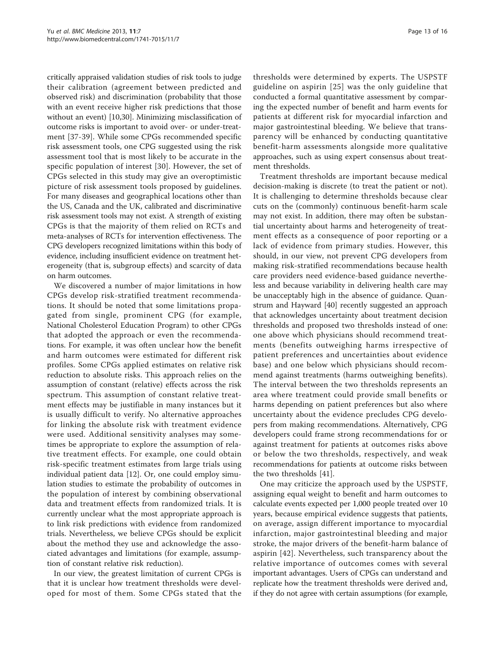critically appraised validation studies of risk tools to judge their calibration (agreement between predicted and observed risk) and discrimination (probability that those with an event receive higher risk predictions that those without an event) [\[10,30\]](#page-14-0). Minimizing misclassification of outcome risks is important to avoid over- or under-treatment [[37-39](#page-14-0)]. While some CPGs recommended specific risk assessment tools, one CPG suggested using the risk assessment tool that is most likely to be accurate in the specific population of interest [\[30\]](#page-14-0). However, the set of CPGs selected in this study may give an overoptimistic picture of risk assessment tools proposed by guidelines. For many diseases and geographical locations other than the US, Canada and the UK, calibrated and discriminative risk assessment tools may not exist. A strength of existing CPGs is that the majority of them relied on RCTs and meta-analyses of RCTs for intervention effectiveness. The CPG developers recognized limitations within this body of evidence, including insufficient evidence on treatment heterogeneity (that is, subgroup effects) and scarcity of data on harm outcomes.

We discovered a number of major limitations in how CPGs develop risk-stratified treatment recommendations. It should be noted that some limitations propagated from single, prominent CPG (for example, National Cholesterol Education Program) to other CPGs that adopted the approach or even the recommendations. For example, it was often unclear how the benefit and harm outcomes were estimated for different risk profiles. Some CPGs applied estimates on relative risk reduction to absolute risks. This approach relies on the assumption of constant (relative) effects across the risk spectrum. This assumption of constant relative treatment effects may be justifiable in many instances but it is usually difficult to verify. No alternative approaches for linking the absolute risk with treatment evidence were used. Additional sensitivity analyses may sometimes be appropriate to explore the assumption of relative treatment effects. For example, one could obtain risk-specific treatment estimates from large trials using individual patient data [\[12\]](#page-14-0). Or, one could employ simulation studies to estimate the probability of outcomes in the population of interest by combining observational data and treatment effects from randomized trials. It is currently unclear what the most appropriate approach is to link risk predictions with evidence from randomized trials. Nevertheless, we believe CPGs should be explicit about the method they use and acknowledge the associated advantages and limitations (for example, assumption of constant relative risk reduction).

In our view, the greatest limitation of current CPGs is that it is unclear how treatment thresholds were developed for most of them. Some CPGs stated that the

thresholds were determined by experts. The USPSTF guideline on aspirin [\[25\]](#page-14-0) was the only guideline that conducted a formal quantitative assessment by comparing the expected number of benefit and harm events for patients at different risk for myocardial infarction and major gastrointestinal bleeding. We believe that transparency will be enhanced by conducting quantitative benefit-harm assessments alongside more qualitative approaches, such as using expert consensus about treatment thresholds.

Treatment thresholds are important because medical decision-making is discrete (to treat the patient or not). It is challenging to determine thresholds because clear cuts on the (commonly) continuous benefit-harm scale may not exist. In addition, there may often be substantial uncertainty about harms and heterogeneity of treatment effects as a consequence of poor reporting or a lack of evidence from primary studies. However, this should, in our view, not prevent CPG developers from making risk-stratified recommendations because health care providers need evidence-based guidance nevertheless and because variability in delivering health care may be unacceptably high in the absence of guidance. Quanstrum and Hayward [\[40](#page-14-0)] recently suggested an approach that acknowledges uncertainty about treatment decision thresholds and proposed two thresholds instead of one: one above which physicians should recommend treatments (benefits outweighing harms irrespective of patient preferences and uncertainties about evidence base) and one below which physicians should recommend against treatments (harms outweighing benefits). The interval between the two thresholds represents an area where treatment could provide small benefits or harms depending on patient preferences but also where uncertainty about the evidence precludes CPG developers from making recommendations. Alternatively, CPG developers could frame strong recommendations for or against treatment for patients at outcomes risks above or below the two thresholds, respectively, and weak recommendations for patients at outcome risks between the two thresholds [[41](#page-14-0)].

One may criticize the approach used by the USPSTF, assigning equal weight to benefit and harm outcomes to calculate events expected per 1,000 people treated over 10 years, because empirical evidence suggests that patients, on average, assign different importance to myocardial infarction, major gastrointestinal bleeding and major stroke, the major drivers of the benefit-harm balance of aspirin [[42](#page-14-0)]. Nevertheless, such transparency about the relative importance of outcomes comes with several important advantages. Users of CPGs can understand and replicate how the treatment thresholds were derived and, if they do not agree with certain assumptions (for example,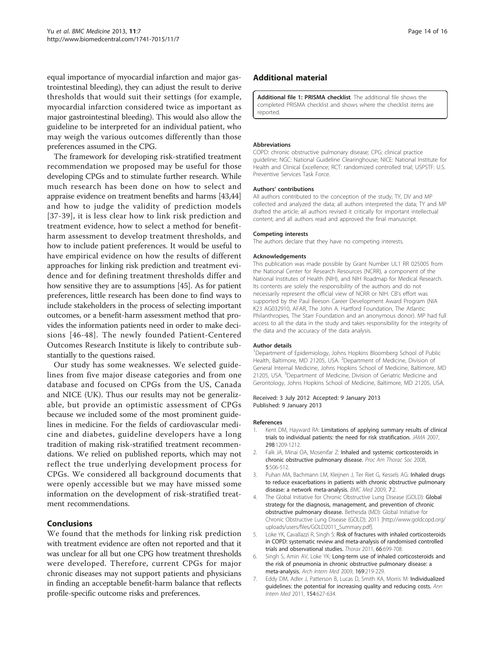<span id="page-13-0"></span>equal importance of myocardial infarction and major gastrointestinal bleeding), they can adjust the result to derive thresholds that would suit their settings (for example, myocardial infarction considered twice as important as major gastrointestinal bleeding). This would also allow the guideline to be interpreted for an individual patient, who may weigh the various outcomes differently than those preferences assumed in the CPG.

The framework for developing risk-stratified treatment recommendation we proposed may be useful for those developing CPGs and to stimulate further research. While much research has been done on how to select and appraise evidence on treatment benefits and harms [\[43,44](#page-15-0)] and how to judge the validity of prediction models [[37-39\]](#page-14-0), it is less clear how to link risk prediction and treatment evidence, how to select a method for benefitharm assessment to develop treatment thresholds, and how to include patient preferences. It would be useful to have empirical evidence on how the results of different approaches for linking risk prediction and treatment evidence and for defining treatment thresholds differ and how sensitive they are to assumptions [[45](#page-15-0)]. As for patient preferences, little research has been done to find ways to include stakeholders in the process of selecting important outcomes, or a benefit-harm assessment method that provides the information patients need in order to make decisions [[46-48](#page-15-0)]. The newly founded Patient-Centered Outcomes Research Institute is likely to contribute substantially to the questions raised.

Our study has some weaknesses. We selected guidelines from five major disease categories and from one database and focused on CPGs from the US, Canada and NICE (UK). Thus our results may not be generalizable, but provide an optimistic assessment of CPGs because we included some of the most prominent guidelines in medicine. For the fields of cardiovascular medicine and diabetes, guideline developers have a long tradition of making risk-stratified treatment recommendations. We relied on published reports, which may not reflect the true underlying development process for CPGs. We considered all background documents that were openly accessible but we may have missed some information on the development of risk-stratified treatment recommendations.

#### Conclusions

We found that the methods for linking risk prediction with treatment evidence are often not reported and that it was unclear for all but one CPG how treatment thresholds were developed. Therefore, current CPGs for major chronic diseases may not support patients and physicians in finding an acceptable benefit-harm balance that reflects profile-specific outcome risks and preferences.

#### Additional material

[Additional file 1: P](http://www.biomedcentral.com/content/supplementary/1741-7015-11-7-S1.DOC)RISMA checklist. The additional file shows the completed PRISMA checklist and shows where the checklist items are reported.

#### Abbreviations

COPD: chronic obstructive pulmonary disease; CPG: clinical practice guideline; NGC: National Guideline Clearinghouse; NICE: National Institute for Health and Clinical Excellence; RCT: randomized controlled trial; USPSTF: U.S. Preventive Services Task Force.

#### Authors' contributions

All authors contributed to the conception of the study; TY, DV and MP collected and analyzed the data; all authors interpreted the data; TY and MP drafted the article; all authors revised it critically for important intellectual content; and all authors read and approved the final manuscript.

#### Competing interests

The authors declare that they have no competing interests.

#### Acknowledgements

This publication was made possible by Grant Number UL1 RR 025005 from the National Center for Research Resources (NCRR), a component of the National Institutes of Health (NIH), and NIH Roadmap for Medical Research. Its contents are solely the responsibility of the authors and do not necessarily represent the official view of NCRR or NIH. CB's effort was supported by the Paul Beeson Career Development Award Program (NIA K23 AG032910, AFAR, The John A. Hartford Foundation, The Atlantic Philanthropies, The Starr Foundation and an anonymous donor). MP had full access to all the data in the study and takes responsibility for the integrity of the data and the accuracy of the data analysis.

#### Author details

<sup>1</sup>Department of Epidemiology, Johns Hopkins Bloomberg School of Public Health, Baltimore, MD 21205, USA. <sup>2</sup>Department of Medicine, Division of General Internal Medicine, Johns Hopkins School of Medicine, Baltimore, MD 21205, USA. <sup>3</sup>Department of Medicine, Division of Geriatric Medicine and Gerontology, Johns Hopkins School of Medicine, Baltimore, MD 21205, USA.

#### Received: 3 July 2012 Accepted: 9 January 2013 Published: 9 January 2013

#### References

- 1. Kent DM, Hayward RA: [Limitations of applying summary results of clinical](http://www.ncbi.nlm.nih.gov/pubmed/17848656?dopt=Abstract) [trials to individual patients: the need for risk stratification.](http://www.ncbi.nlm.nih.gov/pubmed/17848656?dopt=Abstract) JAMA 2007, 298:1209-1212.
- 2. Falk JA, Minai OA, Mosenifar Z: [Inhaled and systemic corticosteroids in](http://www.ncbi.nlm.nih.gov/pubmed/18453363?dopt=Abstract) [chronic obstructive pulmonary disease.](http://www.ncbi.nlm.nih.gov/pubmed/18453363?dopt=Abstract) Proc Am Thorac Soc 2008, 5:506-512.
- 3. Puhan MA, Bachmann LM, Kleijnen J, Ter Riet G, Kessels AG: [Inhaled drugs](http://www.ncbi.nlm.nih.gov/pubmed/19144173?dopt=Abstract) [to reduce exacerbations in patients with chronic obstructive pulmonary](http://www.ncbi.nlm.nih.gov/pubmed/19144173?dopt=Abstract) [disease: a network meta-analysis.](http://www.ncbi.nlm.nih.gov/pubmed/19144173?dopt=Abstract) BMC Med 2009, 7:2.
- 4. The Global Initiative for Chronic Obstructive Lung Disease (GOLD): Global strategy for the diagnosis, management, and prevention of chronic obstructive pulmonary disease. Bethesda (MD): Global Initiative for Chronic Obstructive Lung Disease (GOLD); 2011 [\[http://www.goldcopd.org/](http://www.goldcopd.org/uploads/users/files/GOLD2011_Summary.pdf) [uploads/users/files/GOLD2011\\_Summary.pdf\]](http://www.goldcopd.org/uploads/users/files/GOLD2011_Summary.pdf).
- 5. Loke YK, Cavallazzi R, Singh S: [Risk of fractures with inhaled corticosteroids](http://www.ncbi.nlm.nih.gov/pubmed/21602540?dopt=Abstract) [in COPD: systematic review and meta-analysis of randomised controlled](http://www.ncbi.nlm.nih.gov/pubmed/21602540?dopt=Abstract) [trials and observational studies.](http://www.ncbi.nlm.nih.gov/pubmed/21602540?dopt=Abstract) Thorax 2011, 66:699-708.
- 6. Singh S, Amin AV, Loke YK: [Long-term use of inhaled corticosteroids and](http://www.ncbi.nlm.nih.gov/pubmed/19204211?dopt=Abstract) [the risk of pneumonia in chronic obstructive pulmonary disease: a](http://www.ncbi.nlm.nih.gov/pubmed/19204211?dopt=Abstract) [meta-analysis.](http://www.ncbi.nlm.nih.gov/pubmed/19204211?dopt=Abstract) Arch Intern Med 2009, 169:219-229.
- 7. Eddy DM, Adler J, Patterson B, Lucas D, Smith KA, Morris M: [Individualized](http://www.ncbi.nlm.nih.gov/pubmed/21536939?dopt=Abstract) [guidelines: the potential for increasing quality and reducing costs.](http://www.ncbi.nlm.nih.gov/pubmed/21536939?dopt=Abstract) Ann Intern Med 2011, 154:627-634.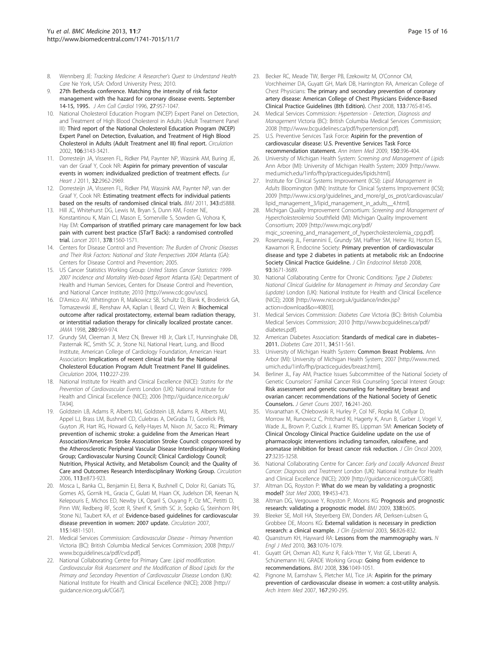- <span id="page-14-0"></span>8. Wennberg JE: Tracking Medicine: A Researcher's Ouest to Understand Health Care Ne York, USA: Oxford University Press; 2010.
- 27th Bethesda conference. Matching the intensity of risk factor management with the hazard for coronary disease events. September 14-15, 1995. J Am Coll Cardiol 1996, 27:957-1047.
- 10. National Cholesterol Education Program (NCEP) Expert Panel on Detection, and Treatment of High Blood Cholesterol in Adults (Adult Treatment Panel III): [Third report of the National Cholesterol Education Program \(NCEP\)](http://www.ncbi.nlm.nih.gov/pubmed/12485966?dopt=Abstract) [Expert Panel on Detection, Evaluation, and Treatment of High Blood](http://www.ncbi.nlm.nih.gov/pubmed/12485966?dopt=Abstract) [Cholesterol in Adults \(Adult Treatment anel III\) final report.](http://www.ncbi.nlm.nih.gov/pubmed/12485966?dopt=Abstract) Circulation 2002, 106:3143-3421.
- 11. Dorresteijn JA, Visseren FL, Ridker PM, Paynter NP, Wassink AM, Buring JE, van der Graaf Y, Cook NR: [Aspirin for primary prevention of vascular](http://www.ncbi.nlm.nih.gov/pubmed/22090661?dopt=Abstract) [events in women: individualized prediction of treatment effects.](http://www.ncbi.nlm.nih.gov/pubmed/22090661?dopt=Abstract) Eur Heart 1, 2011, 32:2962-2969.
- 12. Dorresteijn JA, Visseren FL, Ridker PM, Wassink AM, Paynter NP, van der Graaf Y, Cook NR: [Estimating treatment effects for individual patients](http://www.ncbi.nlm.nih.gov/pubmed/21968126?dopt=Abstract) [based on the results of randomised clinical trials.](http://www.ncbi.nlm.nih.gov/pubmed/21968126?dopt=Abstract) BMJ 2011, 343:d5888.
- 13. Hill JC, Whitehurst DG, Lewis M, Bryan S, Dunn KM, Foster NE, Konstantinou K, Main CJ, Mason E, Somerville S, Sowden G, Vohora K, Hay EM: [Comparison of stratified primary care management for low back](http://www.ncbi.nlm.nih.gov/pubmed/21963002?dopt=Abstract) [pain with current best practice \(STarT Back\): a randomised controlled](http://www.ncbi.nlm.nih.gov/pubmed/21963002?dopt=Abstract) [trial.](http://www.ncbi.nlm.nih.gov/pubmed/21963002?dopt=Abstract) Lancet 2011, 378:1560-1571.
- 14. Centers for Disease Control and Prevention: The Burden of Chronic Diseases and Their Risk Factors: National and State Perspectives 2004 Atlanta (GA): Centers for Disease Control and Prevention; 2005.
- 15. US Cancer Statistics Working Group: United States Cancer Statistics: 1999- 2007 Incidence and Mortality Web-based Report Atlanta (GA): Department of Health and Human Services, Centers for Disease Control and Prevention, and National Cancer Institute; 2010 [[http://www.cdc.gov/uscs\]](http://www.cdc.gov/uscs).
- 16. D'Amico AV, Whittington R, Malkowicz SB, Schultz D, Blank K, Broderick GA, Tomaszewski JE, Renshaw AA, Kaplan I, Beard CJ, Wein A: [Biochemical](http://www.ncbi.nlm.nih.gov/pubmed/9749478?dopt=Abstract) [outcome after radical prostatectomy, external beam radiation therapy,](http://www.ncbi.nlm.nih.gov/pubmed/9749478?dopt=Abstract) [or interstitial radiation therapy for clinically localized prostate cancer.](http://www.ncbi.nlm.nih.gov/pubmed/9749478?dopt=Abstract) JAMA 1998, 280:969-974.
- 17. Grundy SM, Cleeman JI, Merz CN, Brewer HB Jr, Clark LT, Hunninghake DB, Pasternak RC, Smith SC Jr, Stone NJ, National Heart, Lung, and Blood Institute, American College of Cardiology Foundation, American Heart Association: [Implications of recent clinical trials for the National](http://www.ncbi.nlm.nih.gov/pubmed/15249516?dopt=Abstract) [Cholesterol Education Program Adult Treatment Panel III guidelines.](http://www.ncbi.nlm.nih.gov/pubmed/15249516?dopt=Abstract) Circulation 2004, 110:227-239.
- 18. National Institute for Health and Clinical Excellence (NICE): Statins for the Prevention of Cardiovascular Events London (UK): National Institute for Health and Clinical Excellence (NICE); 2006 [[http://guidance.nice.org.uk/](http://guidance.nice.org.uk/TA94) [TA94\]](http://guidance.nice.org.uk/TA94).
- 19. Goldstein LB, Adams R, Alberts MJ, Goldstein LB, Adams R, Alberts MJ, Appel LJ, Brass LM, Bushnell CD, Culebras A, DeGraba TJ, Gorelick PB, Guyton JR, Hart RG, Howard G, Kelly-Hayes M, Nixon JV, Sacco RL: [Primary](http://www.ncbi.nlm.nih.gov/pubmed/16785347?dopt=Abstract) [prevention of ischemic stroke: a guideline from the American Heart](http://www.ncbi.nlm.nih.gov/pubmed/16785347?dopt=Abstract) [Association/American Stroke Association Stroke Council: cosponsored by](http://www.ncbi.nlm.nih.gov/pubmed/16785347?dopt=Abstract) [the Atherosclerotic Peripheral Vascular Disease Interdisciplinary Working](http://www.ncbi.nlm.nih.gov/pubmed/16785347?dopt=Abstract) [Group; Cardiovascular Nursing Council; Clinical Cardiology Council;](http://www.ncbi.nlm.nih.gov/pubmed/16785347?dopt=Abstract) [Nutrition, Physical Activity, and Metabolism Council; and the Quality of](http://www.ncbi.nlm.nih.gov/pubmed/16785347?dopt=Abstract) [Care and Outcomes Research Interdisciplinary Working Group.](http://www.ncbi.nlm.nih.gov/pubmed/16785347?dopt=Abstract) Circulation 2006, 113:e873-923.
- 20. Mosca L, Banka CL, Benjamin EJ, Berra K, Bushnell C, Dolor RJ, Ganiats TG, Gomes AS, Gornik HL, Gracia C, Gulati M, Haan CK, Judelson DR, Keenan N, Kelepouris E, Michos ED, Newby LK, Oparil S, Ouyang P, Oz MC, Petitti D, Pinn VW, Redberg RF, Scott R, Sherif K, Smith SC Jr, Sopko G, Steinhorn RH, Stone NJ, Taubert KA, et al: [Evidence-based guidelines for cardiovascular](http://www.ncbi.nlm.nih.gov/pubmed/17309915?dopt=Abstract) [disease prevention in women: 2007 update.](http://www.ncbi.nlm.nih.gov/pubmed/17309915?dopt=Abstract) Circulation 2007, 115:1481-1501.
- 21. Medical Services Commission: Cardiovascular Disease Primary Prevention Victoria (BC): British Columbia Medical Services Commission; 2008 [\[http://](http://www.bcguidelines.ca/pdf/cvd.pdf) [www.bcguidelines.ca/pdf/cvd.pdf\]](http://www.bcguidelines.ca/pdf/cvd.pdf).
- 22. National Collaborating Centre for Primary Care: Lipid modification. Cardiovascular Risk Assessment and the Modification of Blood Lipids for the Primary and Secondary Prevention of Cardiovascular Disease London (UK): National Institute for Health and Clinical Excellence (NICE); 2008 [\[http://](http://guidance.nice.org.uk/CG67) [guidance.nice.org.uk/CG67](http://guidance.nice.org.uk/CG67)].
- 23. Becker RC, Meade TW, Berger PB, Ezekowitz M, O'Connor CM, Vorchheimer DA, Guyatt GH, Mark DB, Harrington RA, American College of Chest Physicians: [The primary and secondary prevention of coronary](http://www.ncbi.nlm.nih.gov/pubmed/18574278?dopt=Abstract) [artery disease: American College of Chest Physicians Evidence-Based](http://www.ncbi.nlm.nih.gov/pubmed/18574278?dopt=Abstract) [Clinical Practice Guidelines \(8th Edition\).](http://www.ncbi.nlm.nih.gov/pubmed/18574278?dopt=Abstract) Chest 2008, 133:776S-814S.
- 24. Medical Services Commission: Hypertension Detection, Diagnosis and Management Victoria (BC): British Columbia Medical Services Commission; 2008 [\[http://www.bcguidelines.ca/pdf/hypertension.pdf\]](http://www.bcguidelines.ca/pdf/hypertension.pdf).
- 25. U.S. Preventive Services Task Force: [Aspirin for the prevention of](http://www.ncbi.nlm.nih.gov/pubmed/19293072?dopt=Abstract) [cardiovascular disease: U.S. Preventive Services Task Force](http://www.ncbi.nlm.nih.gov/pubmed/19293072?dopt=Abstract) [recommendation statement.](http://www.ncbi.nlm.nih.gov/pubmed/19293072?dopt=Abstract) Ann Intern Med 2009, 150:396-404.
- 26. University of Michigan Health System: Screening and Management of Lipids Ann Arbor (MI): University of Michigan Health System; 2009 [[http://www.](http://www.med.umich.edu/1info/fhp/practiceguides/lipids.html) [med.umich.edu/1info/fhp/practiceguides/lipids.html](http://www.med.umich.edu/1info/fhp/practiceguides/lipids.html)].
- 27. Institute for Clinical Systems Improvement (ICSI): Lipid Management in Adults Bloomington (MN): Institute for Clinical Systems Improvement (ICSI); 2009 [\[http://www.icsi.org/guidelines\\_and\\_more/gl\\_os\\_prot/cardiovascular/](http://www.icsi.org/guidelines_and_more/gl_os_prot/cardiovascular/lipid_management_3/lipid_management_in_adults__4.html) [lipid\\_management\\_3/lipid\\_management\\_in\\_adults\\_\\_4.html\]](http://www.icsi.org/guidelines_and_more/gl_os_prot/cardiovascular/lipid_management_3/lipid_management_in_adults__4.html).
- 28. Michigan Quality Improvement Consortium: Screening and Management of Hypercholesterolemia Southfield (MI): Michigan Quality Improvement Consortium; 2009 [\[http://www.mqic.org/pdf/](http://www.mqic.org/pdf/mqic_screening_and_management_of_hypercholesterolemia_cpg.pdf) [mqic\\_screening\\_and\\_management\\_of\\_hypercholesterolemia\\_cpg.pdf\]](http://www.mqic.org/pdf/mqic_screening_and_management_of_hypercholesterolemia_cpg.pdf).
- 29. Rosenzweig JL, Ferrannini E, Grundy SM, Haffner SM, Heine RJ, Horton ES, Kawamori R, Endocrine Society: [Primary prevention of cardiovascular](http://www.ncbi.nlm.nih.gov/pubmed/18664543?dopt=Abstract) [disease and type 2 diabetes in patients at metabolic risk: an Endocrine](http://www.ncbi.nlm.nih.gov/pubmed/18664543?dopt=Abstract) [Society Clinical Practice Guideline.](http://www.ncbi.nlm.nih.gov/pubmed/18664543?dopt=Abstract) J Clin Endocrinol Metab 2008, 93:3671-3689.
- 30. National Collaborating Centre for Chronic Conditions: Type 2 Diabetes: National Clinical Guideline for Management in Primary and Secondary Care (update) London (UK): National Institute for Health and Clinical Excellence (NICE); 2008 [[http://www.nice.org.uk/guidance/index.jsp?](http://www.nice.org.uk/guidance/index.jsp?action=download&o=40803) [action=download&o=40803\]](http://www.nice.org.uk/guidance/index.jsp?action=download&o=40803).
- 31. Medical Services Commission: Diabetes Care Victoria (BC): British Columbia Medical Services Commission; 2010 [\[http://www.bcguidelines.ca/pdf/](http://www.bcguidelines.ca/pdf/diabetes.pdf) [diabetes.pdf](http://www.bcguidelines.ca/pdf/diabetes.pdf)].
- 32. American Diabetes Association: [Standards of medical care in diabetes](http://www.ncbi.nlm.nih.gov/pubmed/21193625?dopt=Abstract) [2011.](http://www.ncbi.nlm.nih.gov/pubmed/21193625?dopt=Abstract) Diabetes Care 2011, 34:S11-S61.
- 33. University of Michigan Health System: Common Breast Problems. Ann Arbor (MI): University of Michigan Health System; 2007 [[http://www.med.](http://www.med.umich.edu/1info/fhp/practiceguides/breast.html) [umich.edu/1info/fhp/practiceguides/breast.html\]](http://www.med.umich.edu/1info/fhp/practiceguides/breast.html).
- 34. Berliner JL, Fay AM, Practice Issues Subcommittee of the National Society of Genetic Counselors' Familial Cancer Risk Counseling Special Interest Group: [Risk assessment and genetic counseling for hereditary breast and](http://www.ncbi.nlm.nih.gov/pubmed/17508274?dopt=Abstract) [ovarian cancer: recommendations of the National Society of Genetic](http://www.ncbi.nlm.nih.gov/pubmed/17508274?dopt=Abstract) [Counselors.](http://www.ncbi.nlm.nih.gov/pubmed/17508274?dopt=Abstract) J Genet Couns 2007, 16:241-260.
- 35. Visvanathan K, Chlebowski R, Hurley P, Col NF, Ropka M, Collyar D, Morrow M, Runowicz C, Pritchard KI, Hagerty K, Arun B, Garber J, Vogel V, Wade JL, Brown P, Cuzick J, Kramer BS, Lippman SM: [American Society of](http://www.ncbi.nlm.nih.gov/pubmed/19470930?dopt=Abstract) [Clinical Oncology Clinical Practice Guideline update on the use of](http://www.ncbi.nlm.nih.gov/pubmed/19470930?dopt=Abstract) [pharmacologic interventions including tamoxifen, raloxifene, and](http://www.ncbi.nlm.nih.gov/pubmed/19470930?dopt=Abstract) [aromatase inhibition for breast cancer risk reduction.](http://www.ncbi.nlm.nih.gov/pubmed/19470930?dopt=Abstract) J Clin Oncol 2009, 27:3235-3258.
- 36. National Collaborating Centre for Cancer: Early and Locally Advanced Breast Cancer: Diagnosis and Treatment London (UK): National Institute for Health and Clinical Excellence (NICE); 2009 [\[http://guidance.nice.org.uk/CG80\]](http://guidance.nice.org.uk/CG80).
- 37. Altman DG, Royston P: [What do we mean by validating a prognostic](http://www.ncbi.nlm.nih.gov/pubmed/10694730?dopt=Abstract) [model?](http://www.ncbi.nlm.nih.gov/pubmed/10694730?dopt=Abstract) Stat Med 2000, 19:453-473.
- Altman DG, Vergouwe Y, Royston P, Moons KG: [Prognosis and prognostic](http://www.ncbi.nlm.nih.gov/pubmed/19477892?dopt=Abstract) [research: validating a prognostic model.](http://www.ncbi.nlm.nih.gov/pubmed/19477892?dopt=Abstract) BMJ 2009, 338:b605.
- 39. Bleeker SE, Moll HA, Steyerberg EW, Donders AR, Derksen-Lubsen G, Grobbee DE, Moons KG: [External validation is necessary in prediction](http://www.ncbi.nlm.nih.gov/pubmed/14505766?dopt=Abstract) [research: a clinical example.](http://www.ncbi.nlm.nih.gov/pubmed/14505766?dopt=Abstract) J Clin Epidemiol 2003, 56:826-832.
- 40. Quanstrum KH, Hayward RA: [Lessons from the mammography wars.](http://www.ncbi.nlm.nih.gov/pubmed/20825322?dopt=Abstract) N Engl J Med 2010, 363:1076-1079.
- 41. Guyatt GH, Oxman AD, Kunz R, Falck-Ytter Y, Vist GE, Liberati A, Schünemann HJ, GRADE Working Group: [Going from evidence to](http://www.ncbi.nlm.nih.gov/pubmed/18467413?dopt=Abstract) [recommendations.](http://www.ncbi.nlm.nih.gov/pubmed/18467413?dopt=Abstract) BMJ 2008, 336:1049-1051.
- 42. Pignone M, Earnshaw S, Pletcher MJ, Tice JA: [Aspirin for the primary](http://www.ncbi.nlm.nih.gov/pubmed/17296886?dopt=Abstract) [prevention of cardiovascular disease in women: a cost-utility analysis.](http://www.ncbi.nlm.nih.gov/pubmed/17296886?dopt=Abstract) Arch Intern Med 2007, 167:290-295.